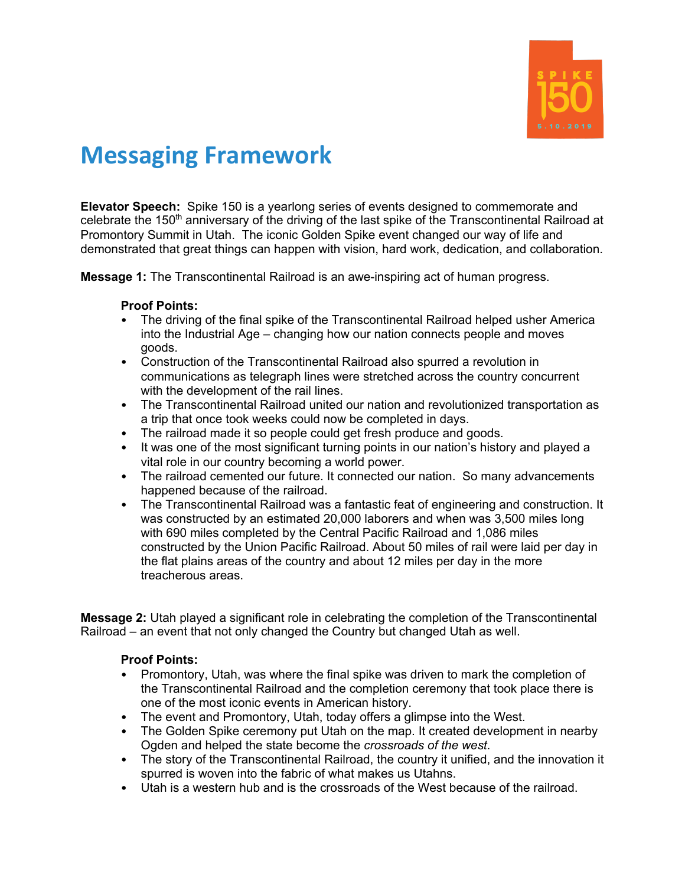

# **Messaging Framework**

**Elevator Speech:** Spike 150 is a yearlong series of events designed to commemorate and celebrate the 150<sup>th</sup> anniversary of the driving of the last spike of the Transcontinental Railroad at Promontory Summit in Utah. The iconic Golden Spike event changed our way of life and demonstrated that great things can happen with vision, hard work, dedication, and collaboration.

**Message 1:** The Transcontinental Railroad is an awe-inspiring act of human progress.

#### **Proof Points:**

- The driving of the final spike of the Transcontinental Railroad helped usher America into the Industrial Age – changing how our nation connects people and moves goods.
- Construction of the Transcontinental Railroad also spurred a revolution in communications as telegraph lines were stretched across the country concurrent with the development of the rail lines.
- The Transcontinental Railroad united our nation and revolutionized transportation as a trip that once took weeks could now be completed in days.
- The railroad made it so people could get fresh produce and goods.
- It was one of the most significant turning points in our nation's history and played a vital role in our country becoming a world power.
- The railroad cemented our future. It connected our nation. So many advancements happened because of the railroad.
- The Transcontinental Railroad was a fantastic feat of engineering and construction. It was constructed by an estimated 20,000 laborers and when was 3,500 miles long with 690 miles completed by the Central Pacific Railroad and 1,086 miles constructed by the Union Pacific Railroad. About 50 miles of rail were laid per day in the flat plains areas of the country and about 12 miles per day in the more treacherous areas.

**Message 2:** Utah played a significant role in celebrating the completion of the Transcontinental Railroad – an event that not only changed the Country but changed Utah as well.

#### **Proof Points:**

- Promontory, Utah, was where the final spike was driven to mark the completion of the Transcontinental Railroad and the completion ceremony that took place there is one of the most iconic events in American history.
- The event and Promontory, Utah, today offers a glimpse into the West.
- The Golden Spike ceremony put Utah on the map. It created development in nearby Ogden and helped the state become the *crossroads of the west*.
- The story of the Transcontinental Railroad, the country it unified, and the innovation it spurred is woven into the fabric of what makes us Utahns.
- Utah is a western hub and is the crossroads of the West because of the railroad.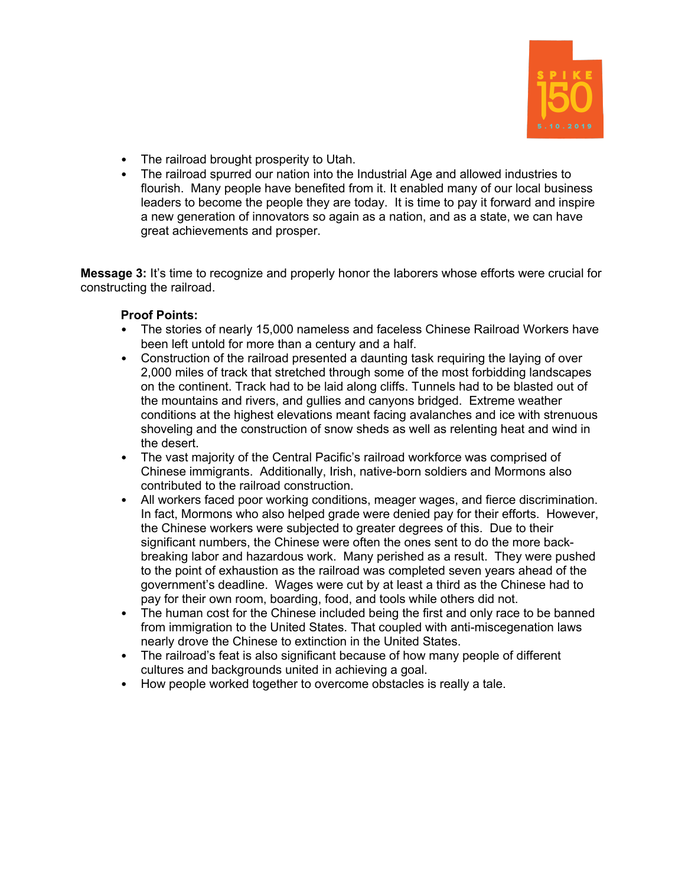

- The railroad brought prosperity to Utah.
- The railroad spurred our nation into the Industrial Age and allowed industries to flourish. Many people have benefited from it. It enabled many of our local business leaders to become the people they are today. It is time to pay it forward and inspire a new generation of innovators so again as a nation, and as a state, we can have great achievements and prosper.

**Message 3:** It's time to recognize and properly honor the laborers whose efforts were crucial for constructing the railroad.

### **Proof Points:**

- The stories of nearly 15,000 nameless and faceless Chinese Railroad Workers have been left untold for more than a century and a half.
- Construction of the railroad presented a daunting task requiring the laying of over 2,000 miles of track that stretched through some of the most forbidding landscapes on the continent. Track had to be laid along cliffs. Tunnels had to be blasted out of the mountains and rivers, and gullies and canyons bridged. Extreme weather conditions at the highest elevations meant facing avalanches and ice with strenuous shoveling and the construction of snow sheds as well as relenting heat and wind in the desert.
- The vast majority of the Central Pacific's railroad workforce was comprised of Chinese immigrants. Additionally, Irish, native-born soldiers and Mormons also contributed to the railroad construction.
- All workers faced poor working conditions, meager wages, and fierce discrimination. In fact, Mormons who also helped grade were denied pay for their efforts. However, the Chinese workers were subjected to greater degrees of this. Due to their significant numbers, the Chinese were often the ones sent to do the more backbreaking labor and hazardous work. Many perished as a result. They were pushed to the point of exhaustion as the railroad was completed seven years ahead of the government's deadline. Wages were cut by at least a third as the Chinese had to pay for their own room, boarding, food, and tools while others did not.
- The human cost for the Chinese included being the first and only race to be banned from immigration to the United States. That coupled with anti-miscegenation laws nearly drove the Chinese to extinction in the United States.
- The railroad's feat is also significant because of how many people of different cultures and backgrounds united in achieving a goal.
- How people worked together to overcome obstacles is really a tale.